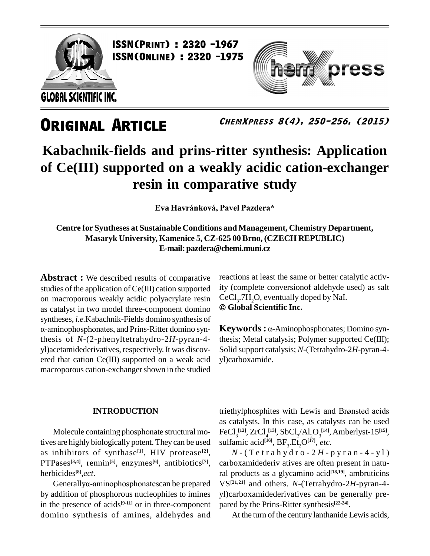

**ISSN(PRINT) : 2320 -1967<br>ISSN(Online) : 2320 -1975** 

**GLOBAL SCIENTIFIC INC.** 

## **ORIGINAL ARTICLE**

**ChemXpress 8(4), 250-256, (2015)**

ess

## **Kabachnik-fields and prins-ritter synthesis: Application of Ce(III) supported on a weakly acidic cation-exchanger resin in comparative study Eva Havr·nkov·, Pavel Pazdera\***

**Centre for Syntheses at Sustainable Conditions and Management, Chemistry Department, Masaryk University, Kamenice 5, CZ-625 00 Brno, (CZECH REPUBLIC) E-mail:[pazdera@chemi.muni.cz](mailto:pazdera@chemi.muni.cz)**

**Abstract :** We described results of comparative studies of the application of Ce(III) cation supported on macroporous weakly acidic polyacrylate resin  $\text{CeCl}_3$ .7H<sub>2</sub>O, eventually d<br>as catalyst in two model three-component domino  $\odot$  Global Scientific Inc. as catalyst in two model three-component domino  $\odot$  Glo syntheses, *i.e.*Kabachnik-Fields domino synthesis of α-aminophosphonates, and Prins-Ritter domino synthesis of *N*-(2-phenyltetrahydro-2*H*-pyran-4 yl)acetamidederivatives, respectively.It was discov ered that cation Ce(III) supported on a weak acid macroporous cation-exchanger shown in the studied

#### **INTRODUCTION**

Molecule containing phosphonate structural motives are highly biologically potent. They can be used as inhibitors of synthase **[1]**, HIV protease **[2]**, PTPases<sup>[3,4]</sup>, rennin<sup>[5]</sup>, enzymes<sup>[6]</sup>, antibiotics<sup>[7]</sup>, carbox<br>herbicides<sup>[8]</sup>,*ect*. ral pro<br>Generallyα-aminophosphonatescan be prepared VS<sup>[21,2</sup> herbicides **[8]**,*ect.*

by addition of phosphorous nucleophiles to imines in the presence of acids<sup>[9-11]</sup> or in three-component pa domino synthesis of amines, aldehydes and

reactions at least the same or better catalytic activity (complete conversionof aldehyde used) as salt<br>CeCl<sub>3</sub>.7H<sub>2</sub>O, eventually doped by NaI.<br>© Gl**obal Scientific Inc.** CeCl<sub>2</sub>.7H<sub>2</sub>O<sub>2</sub> eventually doped by NaI.

**Keywords:** α-Aminophosphonates; Domino synthesis; Metal catalysis; Polymer supported Ce(III); Solid support catalysis; *N*-(Tetrahydro-2*H*-pyran-4 yl)carboxamide.

triethylphosphites with Lewis and Brønsted acids as catalysts. In this case, as catalysts can be used  $\text{FeCl}_3^{~[12]}, \text{ZrCl}_4^{~[13]}, \text{SbCl}_3/\text{Al}_2\text{O}_3^{~[14]}, \text{Amberlyst-15}^{[15]},$ sulfamic acid<sup>[16]</sup>,  $BF_3.Et_2O^{[17]}$ , *etc*.

 $N$  - (Tetrahydro - 2H - pyran - 4 - yl) carboxamidederiv atives are often present in natural products as a glycamino acid **[18,19]**, ambruticins VS **[21,21]** and others. *N*-(Tetrahydro-2*H*-pyran-4 yl)carboxamidederivatives can be generally pre pared by the Prins-Ritter synthesis **[22-24]**.

At the turn of the century lanthanide Lewis acids,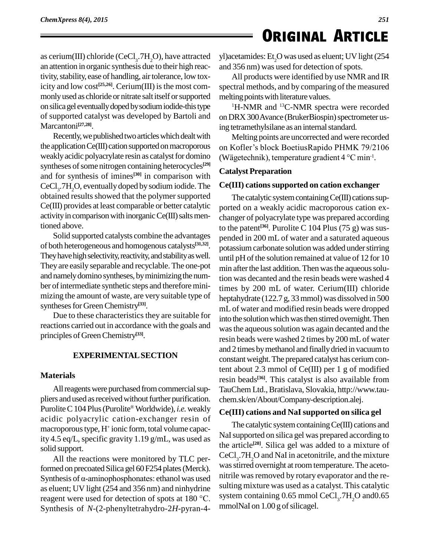## **ORIGINAL ARTICLE**

as cerium(III) chloride (CeCl<sub>3</sub>.7H<sub>2</sub>O), have attracted yl) aceta an attention in organic synthesis due to their high reactivity, stability, ease of handling, air tolerance, low toxicity and low cost<sup>[25,26]</sup>. Cerium(III) is the most com- spee monly used as chloride or nitrate salt itself or supported onsilicagel eventuallydopedbysodiumiodide-thistype of supported catalyst was developed by Bartoli and Marcantoni **[27,28]**.

Recently, we published two articles which dealt with the application Ce(III) cation supported on macroporous weakly acidic polyacrylate resin as catalyst for domino syntheses of some nitrogen containing heterocycles<sup>[29]</sup> and for synthesis of imines<sup>[30]</sup> in comparison with cataly CeCl<sub>3</sub>.7H<sub>2</sub>O, eventually doped by sodium iodide. The  $\text{Ce(II)}$ obtained results showed that the polymer supported Ce(III) provides at least comparable or better catalytic activity in comparison with inorganic Ce(III) salts mentioned above.

Solid supported catalysts combine the advantages of both heterogeneous and homogenous catalysts **[31,32]**. They have high selectivity, reactivity, and stability as well. They are easily separable and recyclable.The one-pot and namely domino syntheses, by minimizing the number of intermediate synthetic steps and therefore minimizing the amount of waste, are very suitable type of syntheses for Green Chemistry<sup>[33]</sup>.

Due to these characteristics they are suitable for reactions carried out in accordance with the goals and principles of Green Chemistry<sup>[33]</sup>.

#### **EXPERIMENTALSECTION**

#### **Materials**

All reagents were purchased from commercial suppliers and used as received without further purification. ch Purolite C 104 Plus (Purolite<sup>®</sup> Worldwide), *i.e.* weakly  $C_{\bf{r}}$ acidic polyacrylic cation-exchanger resin of macroporous type, H<sup>+</sup> ionic form, total volume capacity 4.5 eq/L, specific gravity 1.19 g/mL, was used as solid support.

All the reactions were monitored by TLC performed on precoated Silica gel 60 F254 plates (Merck). Synthesis of  $\alpha$ -aminophosphonates: ethanol was used as eluent; UV light (254 and 356 nm) and ninhydrine reagent were used for detection of spots at <sup>180</sup> °C. Synthesis of *N*-(2-phenyltetrahydro-2*H*-pyran-4yl)acetamides: Et<sub>2</sub>O was used as eluent; UV light (254) and 356 nm) was used for detection of spots.

All products were identified by use NMR and IR spectral methods, and by comparing of the measured melting points with literature values.

<sup>1</sup>H-NMR and <sup>13</sup>C-NMR spectra were recorded on DRX 300 Avance (BrukerBiospin) spectrometer using tetramethylsilane as an internal standard.

Melting points are uncorrected and were recorded ing tetramethylsilane as an internal standard.<br>Melting points are uncorrected and were recorded<br>on Kofler's block BoetiusRapido PHMK 79/2106 Melting points are uncorrected and were recorded<br>on Kofler's block BoetiusRapido PHMK 79/2106<br>(Wägetechnik), temperature gradient 4 °C min<sup>-1</sup>.  $\cdot$ <sup>1</sup>.

#### **Catalyst Preparation**

#### **Ce(III) cationssupported on cation exchanger**

The catalytic system containing  $Ce(III)$  cations supported on a weakly acidic macroporous cation ex changer of polyacrylate type was prepared according to the patent **[36]**. Purolite C 104 Plus (75 g) was sus pended in 200 mL of water and a saturated aqueous potassium carbonate solution was added under stirring until pH of the solution remained at value of 12 for 10 min after the last addition. Then was the aqueous solution was decanted and the resin beads were washed 4 times by 200 mL of water. Cerium(III) chloride heptahydrate (122.7 g, 33mmol) was dissolved in 500 mL of water and modified resin beads were dropped into the solution which was then stirred overnight. Then was the aqueous solution was again decanted and the resin beads were washed 2 times by 200 mLof water and 2 times by methanol and finally dried in vacuum to constant weight. The prepared catalyst has cerium content about 2.3 mmol of Ce(III) per 1 g of modified resin beads **[36]**. This catalyst is also available from TauChem Ltd., Bratislava, Slovakia, [http://www.tau](http://www.tau-) chem.sk/en/About/Company-description.alej.

#### **Ce(III) cations and NaIsupported on silica gel**

The catalytic system containing Ce(III) cations and NaI supported on silica gel was prepared according to the article **[28]**. Silica gel was added to a mixture of  $CeCl<sub>3</sub>$ .7H<sub>2</sub>O and NaI in acetonitrile, and the mixture was stirred overnight at room temperature. The acetonitrile was removed by rotary evaporator and the resulting mixture was used as a catalyst. This catalytic system containing  $0.65$  mmol CeCl<sub>3</sub>.7H<sub>2</sub>O and $0.65$ mmolNaI on  $1.00$  g of silicagel.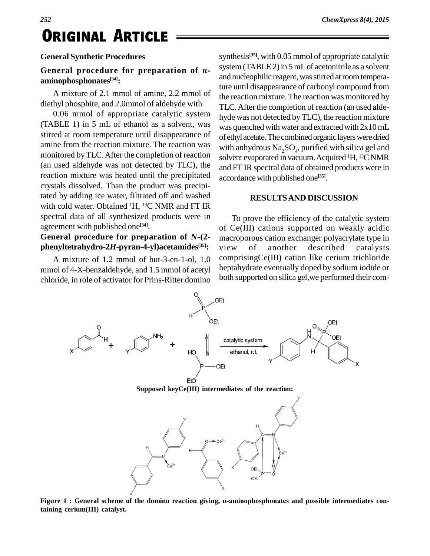#### **General Synthetic Procedures**

#### **General procedure for preparation of · aminophosphonates [34]:**

A mixture of 2.1 mmol of amine, 2.2 mmol of diethyl phosphite, and 2.0mmol of aldehyde with

0.06 mmol of appropriate catalytic system (TABLE 1) in 5 mL of ethanol as a solvent, was stirred at room temperature until disappearance of amine from the reaction mixture. The reaction was monitored byTLC.After the completion of reaction (an used aldehyde was not detected by TLC), the reaction mixture was heated until the precipitated crystals dissolved. Than the product was precipitated by adding ice water, filtrated off and washed with cold water. Obtained <sup>1</sup>H, <sup>13</sup>C NMR and FT IR spectral data of all synthesized products were in agreement with published one **[34]**.

### **General procedure for preparation of** *N***-(2 phenyltetrahydro-2***H***-pyran-4-yl)acetamides [35]:**

A mixture of 1.2 mmol of but-3-en-1-ol, 1.0 mmol of 4-X-benzaldehyde, and 1.5 mmol of acetyl chloride, in role of activator for Prins-Ritter domino

synthesis **[35]**, with 0.05 mmol of appropriate catalytic system (TABLE 2) in  $5$  mL of acetonitrile as a solvent and nucleophilic reagent, was stirred at room temperature until disappearance of carbonyl compound from the reaction mixture. The reaction was monitored by TLC.After the completion of reaction (an used alde hyde was not detected byTLC), the reaction mixture was quenched with water and extracted with  $2x10$  mL of ethyl acetate. The combined organic layers were dried with anhydrous  $\rm Na_{2}SO_{4}$ , purified with silica gel and solvent evaporated in vacuum. Acquired <sup>1</sup>H, <sup>13</sup>C NMR and FT IR spectral data of obtained products were in accordance with published one **[35]**.

#### **RESULTSAND DISCUSSION**

To prove the efficiency of the catalytic system of Ce(III) cations supported on weakly acidic macroporous cation exchanger polyacrylate type in view of another described catalysts comprisingCe(III) cation like cerium trichloride heptahydrate eventually doped by sodium iodide or both supported on silica gel,we performed their com-



**Supposed keyCe(III) intermediates of the reaction:**



**Figure <sup>1</sup> : General scheme of the domino reaction giving, ·-aminophosphonates and possible intermediates containing cerium(III) catalyst.**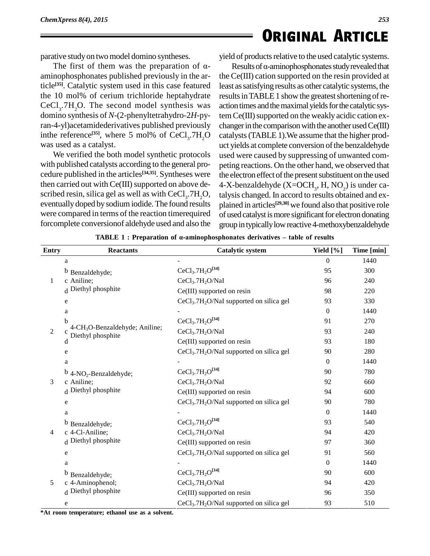parative study on two model domino syntheses.

The first of them was the preparation of  $\alpha$ aminophosphonates published previously in the article<sup>[35]</sup>. Catalytic system used in this case featured least as the 10 mol% of cerium trichloride heptahydrate  $CeCl<sub>3</sub>$ .7H<sub>2</sub>O. The second model synthesis was action domino synthesis of *N*-(2-phenyltetrahydro-2*H*-pyran-4-yl)acetamidederivatives published previously in the reference<sup>[35]</sup>, where 5 mol% of  $CeCl<sub>3</sub>·7H<sub>2</sub>Cl$ was used as a catalyst.

We verified the both model synthetic protocols with published catalysts according to the general pro cedure published in the articles **[34,35]**. Syntheses were then carried out with  $Ce(III)$  supported on above described resin, silica gel as well as with CeCl<sub>3</sub>.7H<sub>2</sub>O, talys<br>eventually doped by sodium iodide. The found results plain were compared in terms of the reaction timerequired forcomplete conversionof aldehyde used and also the

yield of products relative to the used catalytic systems. d of products relative to the used catalytic systems.<br>Results of  $\alpha$ -aminophosphonates study revealed that

 $.7H<sub>2</sub>O$  catalysts (TABLE 1). We assume that the higher prodthe Ce(III) cation supported on the resin provided at least assatisfying results as other catalytic systems, the results in TABLE 1 show the greatest shortening of reaction times and the maximal yields for the catalytic sys $tem Ce(III)$  supported on the weakly acidic cation exchanger in the comparison with the another used  $Ce(III)$ uct yields at complete conversion of the benzaldehyde used were caused by suppressing of unwanted com peting reactions. On the other hand, we observed that the electron effect of the present substituent on the used 4-X-benzaldehyde ( $X=OCH_3$ , H,  $NO_2$ ) is under catalysis changed. In accord to results obtained and ex plained in articles<sup>[29,30]</sup> we found also that positive role of used catalyst is more significant for electron donating group in typically low reactive 4-methoxybenzaldehyde

| <b>Entry</b>   | <b>Reactants</b>                                                          | <b>Catalytic system</b>                                          | Yield $[\%]$   | Time [min] |
|----------------|---------------------------------------------------------------------------|------------------------------------------------------------------|----------------|------------|
| 1              | a                                                                         |                                                                  | $\mathbf{0}$   | 1440       |
|                | b Benzaldehyde;                                                           | $CeCl3.7H2O[34]$                                                 | 95             | 300        |
|                | c Aniline;                                                                | CeCl <sub>3</sub> .7H <sub>2</sub> O/NaI                         | 96             | 240        |
|                | d Diethyl phosphite                                                       | $Ce(III)$ supported on resin                                     | 98             | 220        |
|                | e                                                                         | CeCl <sub>3</sub> .7H <sub>2</sub> O/NaI supported on silica gel | 93             | 330        |
| $\overline{2}$ | a                                                                         |                                                                  | $\theta$       | 1440       |
|                | b<br>4-CH <sub>3</sub> O-Benzaldehyde; Aniline;<br>Diethyl phosphite<br>d | $CeCl3.7H2O[34]$                                                 | 91             | 270        |
|                |                                                                           | CeCl <sub>3</sub> .7H <sub>2</sub> O/NaI                         | 93             | 240        |
|                |                                                                           | $Ce(III)$ supported on resin                                     | 93             | 180        |
|                | e                                                                         | $CeCl3$ .7H <sub>2</sub> O/NaI supported on silica gel           | 90             | 280        |
| 3              | a                                                                         |                                                                  | $\theta$       | 1440       |
|                | $b$ 4-NO <sub>2</sub> -Benzaldehyde;                                      | $CeCl3.7H2O[34]$                                                 | 90             | 780        |
|                | c Aniline;                                                                | CeCl <sub>3</sub> .7H <sub>2</sub> O/NaI                         | 92             | 660        |
|                | d Diethyl phosphite                                                       | $Ce(III)$ supported on resin                                     | 94             | 600        |
|                | e                                                                         | $CeCl3$ .7H <sub>2</sub> O/NaI supported on silica gel           | 90             | 780        |
| 4              | a                                                                         |                                                                  | $\overline{0}$ | 1440       |
|                | b Benzaldehyde;                                                           | $CeCl3.7H2O[34]$                                                 | 93             | 540        |
|                | c 4-Cl-Aniline;                                                           | CeCl <sub>3</sub> .7H <sub>2</sub> O/NaI                         | 94             | 420        |
|                | d Diethyl phosphite                                                       | $Ce(III)$ supported on resin                                     | 97             | 360        |
|                | e                                                                         | CeCl <sub>3</sub> .7H <sub>2</sub> O/NaI supported on silica gel | 91             | 560        |
| 5              | a                                                                         |                                                                  | $\overline{0}$ | 1440       |
|                | b Benzaldehyde;                                                           | $CeCl3.7H2O[34]$                                                 | 90             | 600        |
|                | c 4-Aminophenol;                                                          | CeCl <sub>3</sub> .7H <sub>2</sub> O/NaI                         | 94             | 420        |
|                | d Diethyl phosphite                                                       | $Ce(III)$ supported on resin                                     | 96             | 350        |
|                | e                                                                         | CeCl <sub>3</sub> .7H <sub>2</sub> O/NaI supported on silica gel | 93             | 510        |

**TABLE 1 :** Preparation of  $\alpha$ -aminophosphonates derivatives – table of results

**\*At room temperature; ethanol use as a solvent.**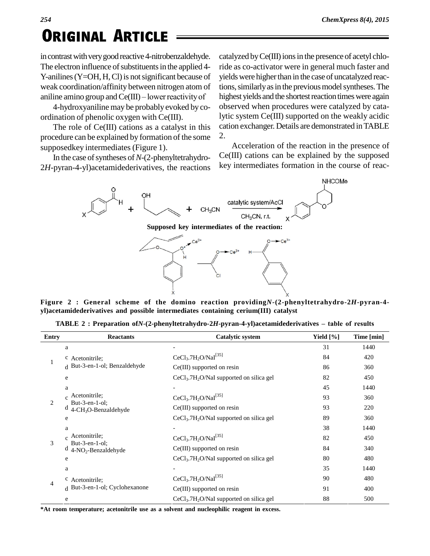## RIGINAL ARTICLE

in contrast with very good reactive 4-nitrobenzaldehyde. The electron influence of substituents in the applied 4-Y-anilines (Y=OH, H, Cl) is not significant because of yiel<br>weak coordination/affinity between nitrogen atom of tion<br>aniline amino group and Ce(III) – lower reactivity of high weak coordination/affinity between nitrogen atom of

4-hydroxyaniline may be probably evoked by co ordination of phenolic oxygen with Ce(III).

The role of Ce(III) cations as a catalyst in this procedure can be explained by formation of the some supposedkey intermediates (Figure 1).

In the case of syntheses of N-(2-phenyltetrahydro-2*H*-pyran-4-yl)acetamidederivatives, the reactions

catalyzed by  $Ce(III)$  ions in the presence of acetyl chloride as co-activator were in general much faster and yields were higher than in the case of uncatalyzed reactions, similarly as in the previous model syntheses. The highest yields and the shortest reaction times were again observed when procedures were catalyzed by catalytic system Ce(III) supported on the weakly acidic cation exchanger. Details are demonstrated inTABLE 2.

Acceleration of the reaction in the presence of Ce(III) cations can be explained by the supposed key intermediates formation in the course of reac-





**Figure 2 : General scheme of the domino reaction providing***N***-(2-phenyltetrahydro-2***H***-pyran-4** yl)acetamidederivatives and possible intermediates containing cerium(III) catalyst<br>TABLE 2: Preparation of N-(2-phenyltetrahydro-2H-pyran-4-yl)acetamidederivatives – table of results

| <b>Entry</b> | <b>Reactants</b>                                                 | <b>Catalytic system</b>                                | Yield $[\%]$ | Time [min] |
|--------------|------------------------------------------------------------------|--------------------------------------------------------|--------------|------------|
|              | a                                                                |                                                        | 31           | 1440       |
|              | <sup>c</sup> Acetonitrile:<br>d But-3-en-1-ol; Benzaldehyde<br>e | $CeCl3.7H2O/NaI[35]$                                   | 84           | 420        |
|              |                                                                  | Ce(III) supported on resin                             | 86           | 360        |
|              |                                                                  | $CeCl3$ .7H <sub>2</sub> O/NaI supported on silica gel | 82           | 450        |
| 2            | a                                                                |                                                        | 45           | 1440       |
|              | $_{c}$ Acetonitrile;                                             | $CeCl3$ .7H <sub>2</sub> O/NaI <sup>[35]</sup>         | 93           | 360        |
|              | But-3-en-1-ol:<br>4-CH <sub>3</sub> O-Benzaldehyde               | Ce(III) supported on resin                             | 93           | 220        |
|              | e                                                                | $CeCl3$ .7H <sub>2</sub> O/NaI supported on silica gel | 89           | 360        |
| 3            | a                                                                |                                                        | 38           | 1440       |
|              | $_{c}$ Acetonitrile;                                             | $CeCl3.7H2O/NaI[35]$                                   | 82           | 450        |
|              | But-3-en-1-ol;<br>d<br>4-NO <sub>2</sub> -Benzaldehyde           | Ce(III) supported on resin                             | 84           | 340        |
|              | e                                                                | $CeCl3$ .7H <sub>2</sub> O/NaI supported on silica gel | 80           | 480        |
| 4            | a                                                                |                                                        | 35           | 1440       |
|              | c Acetonitrile:                                                  | $CeCl3.7H2O/NaI[35]$                                   | 90           | 480        |
|              | d But-3-en-1-ol; Cyclohexanone                                   | $Ce(III)$ supported on resin                           | 91           | 400        |
|              | e                                                                | $CeCl3$ .7H <sub>2</sub> O/NaI supported on silica gel | 88           | 500        |

**\*At room temperature; acetonitrile use as a solvent and nucleophilic reagent in excess.**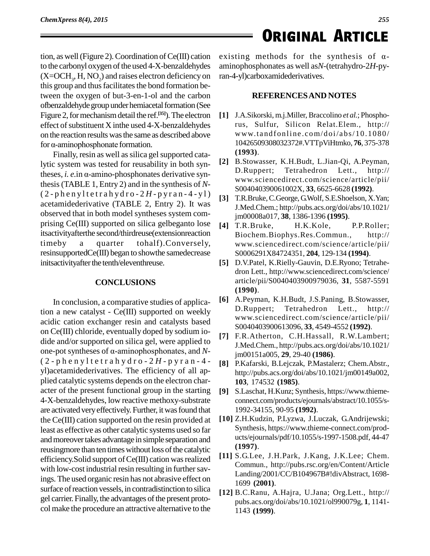tion, as well (Figure 2). Coordination of  $Ce(III)$  cation to the carbonyl oxygen of the used 4-X-benzaldehydes  $(X=OCH_3, H, NO_2)$  and raises electron deficiency on ran-4-y this group and thus facilitates the bond formation between the oxygen of but-3-en-1-ol and the carbon ofbenzaldehyde group under hemiacetal formation (See Figure 2, for mechanism detail the ref.<sup>[35]</sup>). The electron [1] J. effect of substituent X inthe used 4-X-benzaldehydes<br>on the reaction results was the same as described above<br>for  $\alpha$ -aminophosphonate formation. on the reaction resultswasthe same as described above

Finally, resin as well as silica gel supported catalytic system was tested for reusability in both syn-Finally, resin as well as silica gel supported cata-<br>lytic system was tested for reusability in both syn-<br>theses, *i. e.*in  $\alpha$ -amino-phosphonates derivative synthesis(TABLE 1, Entry 2) and in the synthesis of *N*-  $(2 - pheny 1 t e trah y dro - 2 H - py ran - 4 - y 1)$ acetamidederivative (TABLE 2, Entry 2). It was observed that in both model syntheses system com prising Ce(III) supported on silica gelbeganto lose itsactivityafterthe second/thirdreuse(extensionreaction timeby a quarter tohalf).Conversely, resinsupportedCe(III) began to showthe samedecrease inits activity after the tenth/eleventhreuse.

#### **CONCLUSIONS**

In conclusion, a comparative studies of application a new catalyst -  $\text{Ce(III)}$  supported on weekly D. Ruppert; acidic cation exchanger resin and catalysts based on Ce(III) chloride, eventually doped by sodium io-<br>dide and/or supported on silica gel, were applied to<br>one-pot syntheses of α-aminophosphonates, and *N*-<br>im0 dide and/or supported on silica gel, were applied to ( 2 - p h e n y l t e t r a h y d r o - 2 *H* - p y r a n - 4 yl)acetamidederivatives. The efficiency of all ap plied catalytic systems depends on the electron char acter of the present functional group in the starting [9] 4-X-benzaldehydes, low reactive methoxy-substrate are activated very effectively. Further, it was found that the Ce(III) cation supported on the resin provided at least as effective as other catalytic systems used so far and moreover takes advantage in simple separation and reusingmore than ten times without loss of the catalytic efficiency. Solid support of Ce(III) cation was realized with low-cost industrial resin resulting in further savings. The used organic resin has not abrasive effect on surface of reaction vessels, in contradistinction to silica gel carrier. Finally, the advantages of the present protocol make the procedure an attractive alternative to the

# **EXAMPLE CORIGINAL ARTICLE**<br>existing methods for the synthesis of  $\alpha$ -

aminophosphonates as well as*N*-(tetrahydro-2*H*-pyran-4-yl)carboxamidederivatives.

#### **REFERENCESAND NOTES**

- **[1]** J.A.Sikorski, m.j.Miller, Braccolino *et al.*; Phosphorus, Sulfur, Silicon Relat.Elem., <http://> www.t andfonline . com/doi/ [abs/10.1080/](http://www.tandfonline.com/doi/abs/10.1080/) 10426509308032372#.VTTpViHtmko, **76**, 375-378 **(1993)**.
- **[2]** B.Stowasser, K.H.Budt, L.Jian-Qi, A.Peyman, D.Ruppert; Tetrahedron Lett., <http://> [www.sciencedirect.com/science/article/pii/](http://www.sciencedirect.com/science/article/pii/) S004040390061002X, **33**, 6625-6628 **(1992)**.
- **[3]** T.R.Bruke,C.George, G.Wolf, S.E.Shoelson, X.Yan; J.Med.Chem.; <http://pubs.acs.org/doi/abs/10.1021/> jm00008a017, **38**, 1386-1396 **(1995)**.
- **[4]** T.R.Bruke, H.K.Kole, P.P.Roller; Biochem.Biophys.Res.Commun., <http://> [www.sciencedirect.com/science/article/pii/](http://www.sciencedirect.com/science/article/pii/) S0006291X84724351, **204**, 129-134 **(1994)**.
- **[5]** D.V.Patel, K.Rielly-Gauvin, D.E.Ryono; Tetrahe dron Lett., <http://www.sciencedirect.com/science/> article/pii/S0040403900979036, **31**, 5587-5591 **(1990)**.
- **[6]** A.Peyman, K.H.Budt, J.S.Paning, B.Stowasser, Tetrahedron Lett., <http://> [www.sciencedirect.com/science/article/pii/](http://www.sciencedirect.com/science/article/pii/) S0040403900613096, **33**, 4549-4552 **(1992)**.
- **[7]** F.R.Atherton, C.H.Hassall, R.W.Lambert; J.Med.Chem., <http://pubs.acs.org/doi/abs/10.1021/> jm00151a005, **29**, 29-40 **(1986)**.
- **[8]** P.Kafarski, B.Lejczak, P.Mastalerz; Chem.Abstr., <http://pubs.acs.org/doi/abs/10.1021/jm00149a002,> **103**, 174532 **(1985)**.
- **[9]** S.Laschat, H.Kunz; Synthesis, [https://www.thieme](https://www.thieme-) connect.com/products/ejournals/abstract/10.1055/s- 1992-34155, 90-95 **(1992)**.
- **[10]** Z.H.Kudzin, P.Lyzwa, J.Luczak, G.Andrijewski; Synthesis, [https://www.thieme-connect.com/prod](https://www.thieme-connect.com/prod-) ucts/ejournals/pdf/10.1055/s-1997-1508.pdf, 44-47 **(1997)**.
- **[11]** S.G.Lee, J.H.Park, J.Kang, J.K.Lee; Chem. Commun., <http://pubs.rsc.org/en/Content/Article> Landing/2001/CC/B104967B#!divAbstract, 1698- 1699 **(2001)**.
- **[12]** B.C.Ranu, A.Hajra, U.Jana; Org.Lett., <http://> pubs.acs.org/doi/abs/10.1021/ol990079g, **1**, 1141- 1143 **(1999)**.